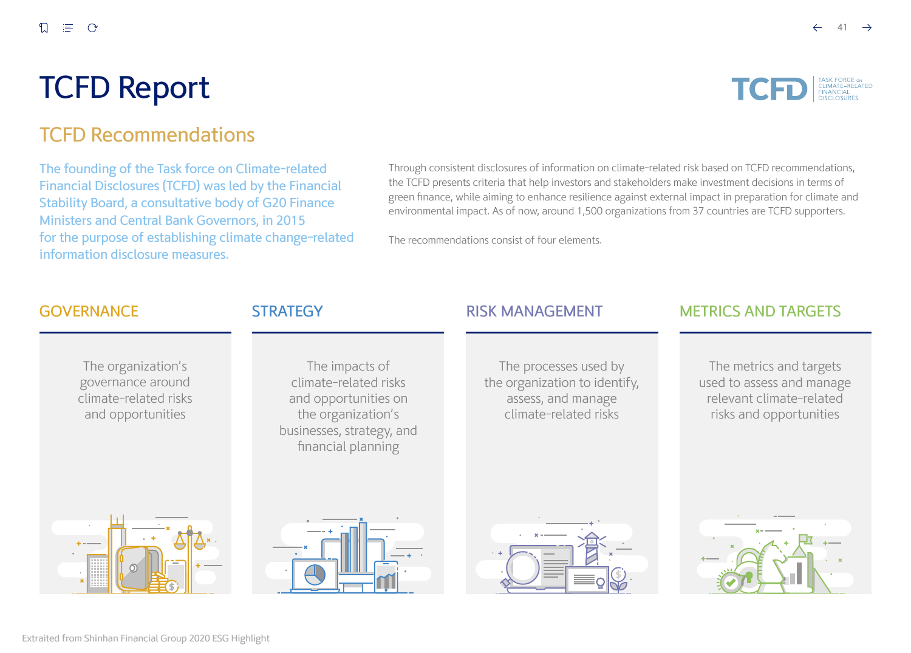TCFD Report

TCFD Recommendations

information disclosure measures.

The founding of the Task force on Climate-related Financial Disclosures (TCFD) was led by the Financial Stability Board, a consultative body of G20 Finance

for the purpose of establishing climate change-related

Ministers and Central Bank Governors, in 2015

The impacts of climate-related risks and opportunities on the organization's businesses, strategy, and financial planning

### The processes used by the organization to identify, assess, and manage climate-related risks

the TCFD presents criteria that help investors and stakeholders make investment decisions in terms of green finance, while aiming to enhance resilience against external impact in preparation for climate and environmental impact. As of now, around 1,500 organizations from 37 countries are TCFD supporters.

Through consistent disclosures of information on climate-related risk based on TCFD recommendations,

The recommendations consist of four elements.

# GOVERNANCE STRATEGY STRATEGY RISK MANAGEMENT METRICS AND TARGETS

The organization's governance around climate-related risks and opportunities









The metrics and targets used to assess and manage relevant climate-related risks and opportunities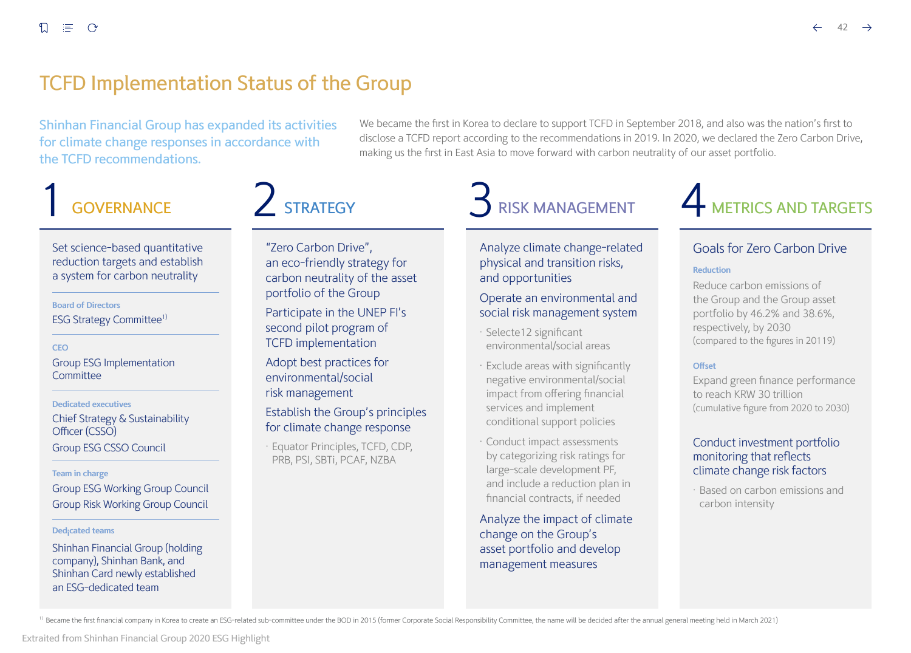# TCFD Implementation Status of the Group

Shinhan Financial Group has expanded its activities for climate change responses in accordance with the TCFD recommendations.

We became the first in Korea to declare to support TCFD in September 2018, and also was the nation's first to disclose a TCFD report according to the recommendations in 2019. In 2020, we declared the Zero Carbon Drive, making us the first in East Asia to move forward with carbon neutrality of our asset portfolio.

Set science-based quantitative reduction targets and establish a system for carbon neutrality

**Board of Directors** ESG Strategy Committee<sup>1)</sup>

#### **CEO**

Group ESG Implementation **Committee** 

**Dedicated executives**

Chief Strategy & Sustainability Officer (CSSO) Group ESG CSSO Council

**Team in charge** Group ESG Working Group Council Group Risk Working Group Council

#### **Dedi cated teams**

Shinhan Financial Group (holding company), Shinhan Bank, and Shinhan Card newly established an ESG-dedicated team

"Zero Carbon Drive", an eco-friendly strategy for carbon neutrality of the asset portfolio of the Group

Participate in the UNEP FI's second pilot program of TCFD implementation

Adopt best practices for environmental/social risk management

Establish the Group's principles for climate change response

• Equator Principles, TCFD, CDP, PRB, PSI, SBTi, PCAF, NZBA

Analyze climate change-related physical and transition risks, and opportunities

Operate an environmental and social risk management system

- Selecte12 significant environmental/social areas
- Exclude areas with significantly negative environmental/social impact from offering financial services and implement conditional support policies
- Conduct impact assessments by categorizing risk ratings for large-scale development PF, and include a reduction plan in financial contracts, if needed

Analyze the impact of climate change on the Group's asset portfolio and develop management measures

# GOVERNANCE STRATEGY STRATEGY STRATEGY STRATEGY STRATEGY STRATEGY STRATEGY STRATEGY STRATEGY STRATEGY STRATEGY

## Goals for Zero Carbon Drive

#### **Reduction**

Reduce carbon emissions of the Group and the Group asset portfolio by 46.2% and 38.6%, respectively, by 2030 (compared to the figures in 20119)

#### **Offset**

Expand green finance performance to reach KRW 30 trillion (cumulative figure from 2020 to 2030)

### Conduct investment portfolio monitoring that reflects climate change risk factors

• Based on carbon emissions and carbon intensity

<sup>1)</sup> Became the first financial company in Korea to create an ESG-related sub-committee under the BOD in 2015 (former Corporate Social Responsibility Committee, the name will be decided after the annual general meeting hel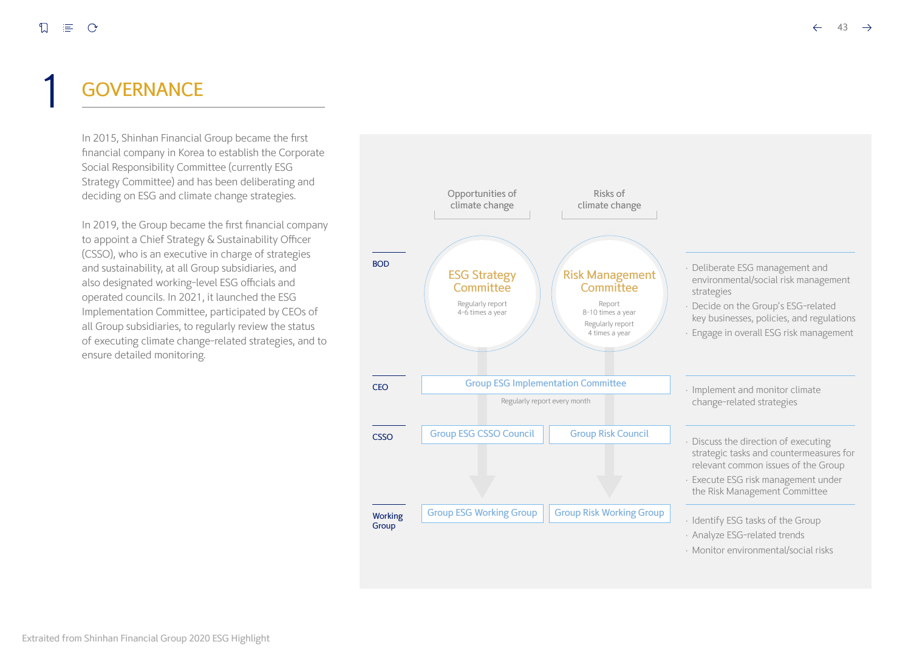# **GOVERNANCE**

In 2015, Shinhan Financial Group became the first financial company in Korea to establish the Corporate Social Responsibility Committee (currently ESG Strategy Committee) and has been deliberating and deciding on ESG and climate change strategies.

In 2019, the Group became the first financial company to appoint a Chief Strategy & Sustainability Officer (CSSO), who is an executive in charge of strategies and sustainability, at all Group subsidiaries, and also designated working-level ESG officials and operated councils. In 2021, it launched the ESG Implementation Committee, participated by CEOs of all Group subsidiaries, to regularly review the status of executing climate change-related strategies, and to ensure detailed monitoring.

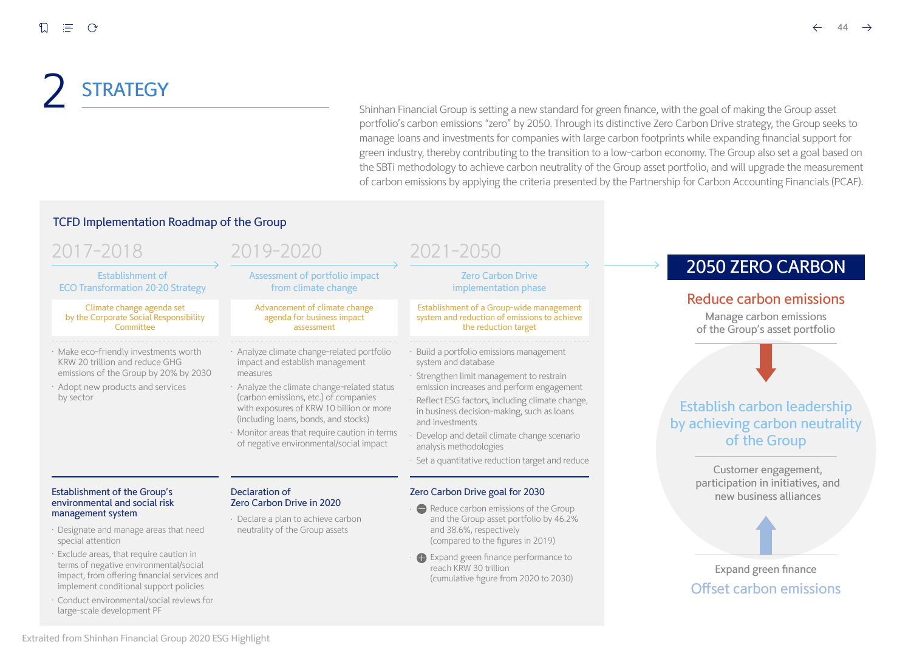# **STRATEGY**

Shinhan Financial Group is setting a new standard for green finance, with the goal of making the Group asset portfolio's carbon emissions "zero" by 2050. Through its distinctive Zero Carbon Drive strategy, the Group seeks to manage loans and investments for companies with large carbon footprints while expanding financial support for green industry, thereby contributing to the transition to a low-carbon economy. The Group also set a goal based on the SBTi methodology to achieve carbon neutrality of the Group asset portfolio, and will upgrade the measurement of carbon emissions by applying the criteria presented by the Partnership for Carbon Accounting Financials (PCAF).

## TCFD Implementation Roadmap of the Group

| 2017-2018                                                                                                                                                                                                                                    | 2019-2020                                                                                                                                                                                                                                                                                                                                                         | 2021-2050                                                                                                                                                                                                                                                                                                                                              |                                                                                                                                                                                                                                       |
|----------------------------------------------------------------------------------------------------------------------------------------------------------------------------------------------------------------------------------------------|-------------------------------------------------------------------------------------------------------------------------------------------------------------------------------------------------------------------------------------------------------------------------------------------------------------------------------------------------------------------|--------------------------------------------------------------------------------------------------------------------------------------------------------------------------------------------------------------------------------------------------------------------------------------------------------------------------------------------------------|---------------------------------------------------------------------------------------------------------------------------------------------------------------------------------------------------------------------------------------|
| <b>Establishment of</b><br><b>ECO Transformation 20.20 Strategy</b>                                                                                                                                                                          | Assessment of portfolio impact<br>from climate change                                                                                                                                                                                                                                                                                                             | <b>Zero Carbon Drive</b><br>implementation phase                                                                                                                                                                                                                                                                                                       | <b>2050 ZERO CARBON</b>                                                                                                                                                                                                               |
| Climate change agenda set<br>by the Corporate Social Responsibility<br>Committee                                                                                                                                                             | Advancement of climate change<br>agenda for business impact<br>assessment                                                                                                                                                                                                                                                                                         | Establishment of a Group-wide management<br>system and reduction of emissions to achieve<br>the reduction target                                                                                                                                                                                                                                       | Reduce carbon emissions<br>Manage carbon emissions<br>of the Group's asset portfolio                                                                                                                                                  |
| · Make eco-friendly investments worth<br>KRW 20 trillion and reduce GHG<br>emissions of the Group by 20% by 2030<br>· Adopt new products and services<br>by sector                                                                           | · Analyze climate change-related portfolio<br>impact and establish management<br>measures<br>· Analyze the climate change-related status<br>(carbon emissions, etc.) of companies<br>with exposures of KRW 10 billion or more<br>(including loans, bonds, and stocks)<br>· Monitor areas that require caution in terms<br>of negative environmental/social impact | · Build a portfolio emissions management<br>system and database<br>· Strengthen limit management to restrain<br>emission increases and perform engagement<br>· Reflect ESG factors, including climate change,<br>in business decision-making, such as loans<br>and investments<br>Develop and detail climate change scenario<br>analysis methodologies | Establish carbon leadership<br>by achieving carbon neutrality<br>of the Group<br>Customer engagement,<br>participation in initiatives, and<br>new business alliances<br><b>Expand green finance</b><br><b>Offset carbon emissions</b> |
| <b>Establishment of the Group's</b><br>environmental and social risk<br>management system<br>· Designate and manage areas that need<br>special attention<br>Exclude areas, that require caution in<br>terms of negative environmental/social | Declaration of<br>Zero Carbon Drive in 2020<br>· Declare a plan to achieve carbon<br>neutrality of the Group assets                                                                                                                                                                                                                                               | · Set a quantitative reduction target and reduce<br>Zero Carbon Drive goal for 2030<br>$\bigcap$ Reduce carbon emissions of the Group<br>and the Group asset portfolio by 46.2%<br>and 38.6%, respectively<br>(compared to the figures in 2019)<br>Expand green finance performance to<br>reach KRW 30 trillion                                        |                                                                                                                                                                                                                                       |
| impact, from offering financial services and<br>implement conditional support policies<br>Conduct environmental/social reviews for<br>large-scale development PF                                                                             |                                                                                                                                                                                                                                                                                                                                                                   | (cumulative figure from 2020 to 2030)                                                                                                                                                                                                                                                                                                                  |                                                                                                                                                                                                                                       |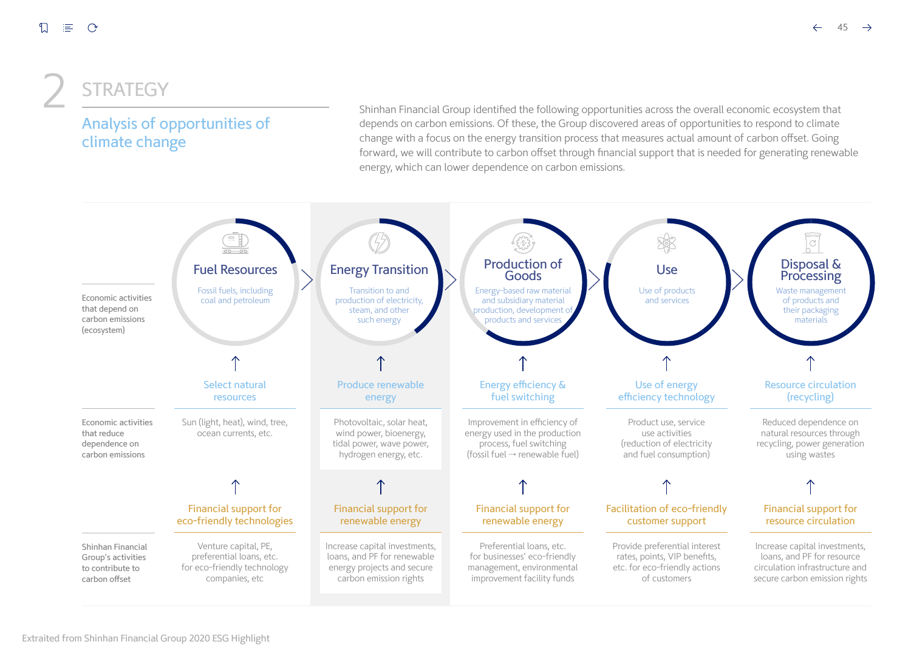# **STRATEGY**

# Analysis of opportunities of climate change

Shinhan Financial Group identified the following opportunities across the overall economic ecosystem that depends on carbon emissions. Of these, the Group discovered areas of opportunities to respond to climate change with a focus on the energy transition process that measures actual amount of carbon offset. Going forward, we will contribute to carbon offset through financial support that is needed for generating renewable energy, which can lower dependence on carbon emissions.

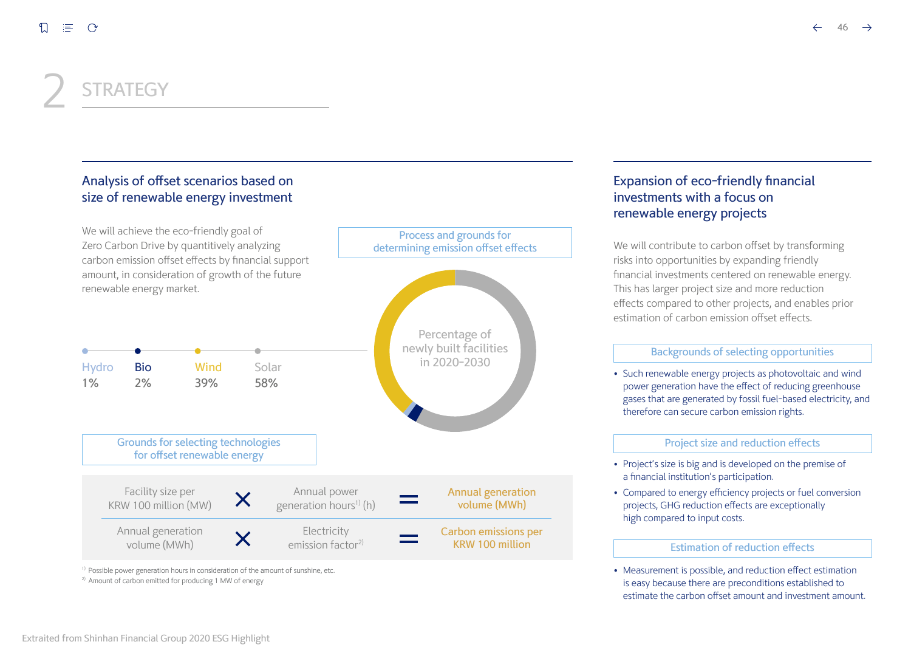# **STRATEGY**

## Analysis of offset scenarios based on size of renewable energy investment

We will achieve the eco-friendly goal of Zero Carbon Drive by quantitively analyzing carbon emission offset effects by financial support amount, in consideration of growth of the future renewable energy market.



Grounds for selecting technologies for offset renewable energy



Percentage of newly built facilities in 2020-2030

Process and grounds for determining emission offset effects

<sup>1)</sup> Possible power generation hours in consideration of the amount of sunshine, etc.

 $^{2)}$  Amount of carbon emitted for producing 1 MW of energy

# Expansion of eco-friendly financial investments with a focus on renewable energy projects

We will contribute to carbon offset by transforming risks into opportunities by expanding friendly financial investments centered on renewable energy. This has larger project size and more reduction effects compared to other projects, and enables prior estimation of carbon emission offset effects.

### Backgrounds of selecting opportunities

• Such renewable energy projects as photovoltaic and wind power generation have the effect of reducing greenhouse gases that are generated by fossil fuel-based electricity, and therefore can secure carbon emission rights.

### Project size and reduction effects

- Project's size is big and is developed on the premise of a financial institution's participation.
- Compared to energy efficiency projects or fuel conversion projects, GHG reduction effects are exceptionally high compared to input costs.

#### Estimation of reduction effects

• Measurement is possible, and reduction effect estimation is easy because there are preconditions established to estimate the carbon offset amount and investment amount.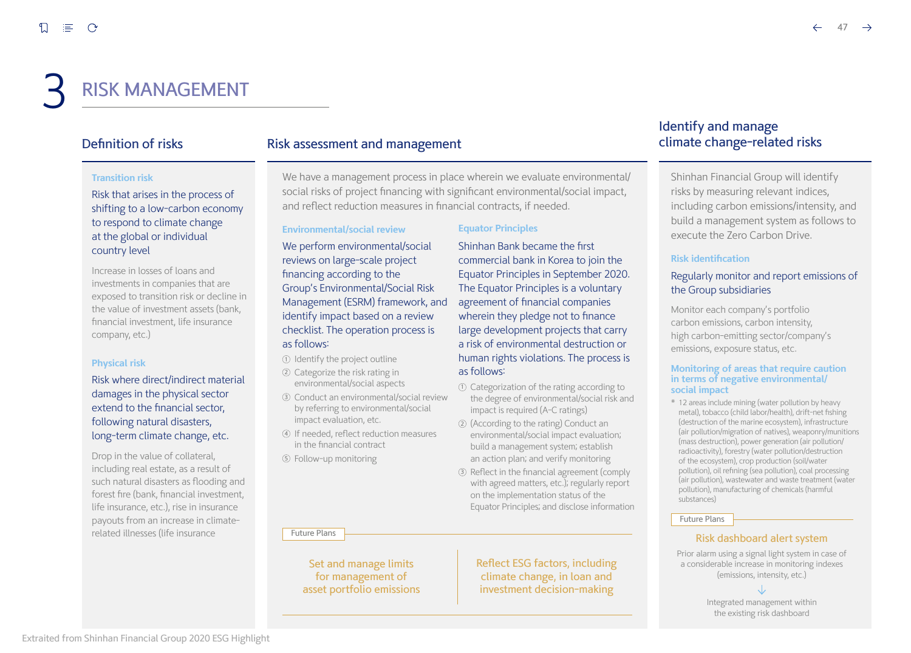# **RISK MANAGEMENT**

### Definition of risks

#### **Transition risk**

Risk that arises in the process of shifting to a low-carbon economy to respond to climate change at the global or individual country level

Increase in losses of loans and investments in companies that are exposed to transition risk or decline in the value of investment assets (bank, financial investment, life insurance company, etc.)

#### **Physical risk**

Risk where direct/indirect material damages in the physical sector extend to the financial sector, following natural disasters, long-term climate change, etc.

Drop in the value of collateral, including real estate, as a result of such natural disasters as flooding and forest fire (bank, financial investment, life insurance, etc.), rise in insurance payouts from an increase in climaterelated illnesses (life insurance

### Risk assessment and management

We have a management process in place wherein we evaluate environmental/ social risks of project financing with significant environmental/social impact, and reflect reduction measures in financial contracts, if needed.

#### **Environmental/social review**

We perform environmental/social reviews on large-scale project financing according to the Group's Environmental/Social Risk Management (ESRM) framework, and identify impact based on a review checklist. The operation process is as follows:

<sup>1</sup> Identify the project outline

- <sup>2</sup> Categorize the risk rating in environmental/social aspects
- <sup>3</sup> Conduct an environmental/social review by referring to environmental/social impact evaluation, etc.
- <sup>4</sup> If needed, reflect reduction measures in the financial contract
- <sup>5</sup> Follow-up monitoring

#### **Equator Principles**

Shinhan Bank became the first commercial bank in Korea to join the Equator Principles in September 2020. The Equator Principles is a voluntary agreement of financial companies wherein they pledge not to finance large development projects that carry a risk of environmental destruction or human rights violations. The process is as follows:

- <sup>1</sup> Categorization of the rating according to the degree of environmental/social risk and impact is required (A-C ratings)
- <sup>2</sup> (According to the rating) Conduct an environmental/social impact evaluation; build a management system; establish an action plan; and verify monitoring
- <sup>3</sup> Reflect in the financial agreement (comply with agreed matters, etc.); regularly report on the implementation status of the Equator Principles; and disclose information

Future Plans

Set and manage limits for management of asset portfolio emissions Reflect ESG factors, including climate change, in loan and investment decision-making

### Identify and manage climate change-related risks

Shinhan Financial Group will identify risks by measuring relevant indices, including carbon emissions/intensity, and build a management system as follows to execute the Zero Carbon Drive.

#### **Risk identification**

### Regularly monitor and report emissions of the Group subsidiaries

Monitor each company's portfolio carbon emissions, carbon intensity, high carbon-emitting sector/company's emissions, exposure status, etc.

#### **Monitoring of areas that require caution in terms of negative environmental/ social impact**

\* 12 areas include mining (water pollution by heavy metal), tobacco (child labor/health), drift-net fishing (destruction of the marine ecosystem), infrastructure (air pollution/migration of natives), weaponry/munitions (mass destruction), power generation (air pollution/ radioactivity), forestry (water pollution/destruction of the ecosystem), crop production (soil/water pollution), oil refining (sea pollution), coal processing (air pollution), wastewater and waste treatment (water pollution), manufacturing of chemicals (harmful substances)

#### Future Plans

#### Risk dashboard alert system

Prior alarm using a signal light system in case of a considerable increase in monitoring indexes (emissions, intensity, etc.)

> Integrated management within the existing risk dashboard

Extraited from Shinhan Financial Group 2020 ESG Highlight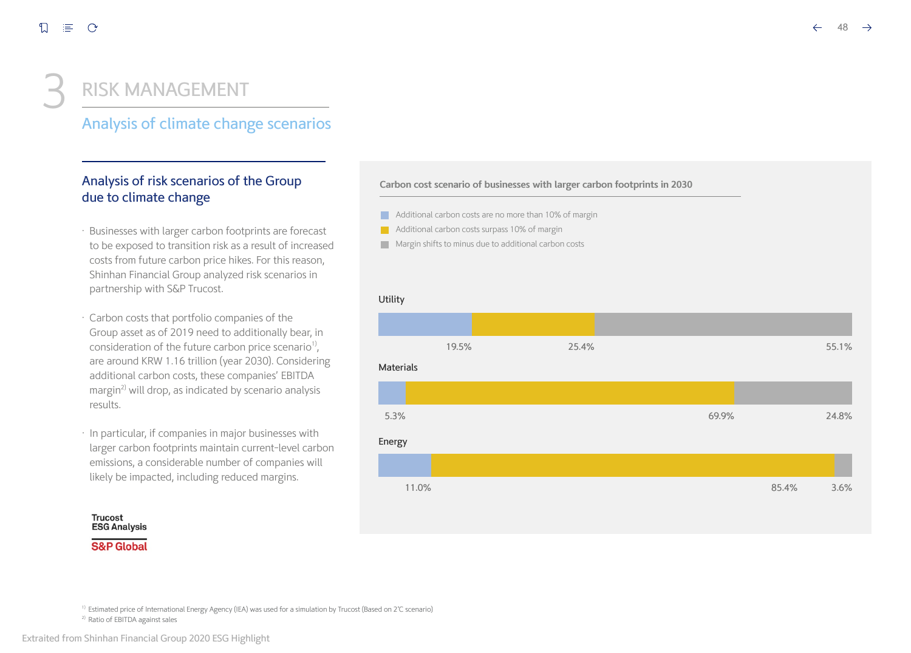# **RISK MANAGEMENT**

# Analysis of climate change scenarios

# Analysis of risk scenarios of the Group due to climate change

- Businesses with larger carbon footprints are forecast to be exposed to transition risk as a result of increased costs from future carbon price hikes. For this reason, Shinhan Financial Group analyzed risk scenarios in partnership with S&P Trucost.
- Carbon costs that portfolio companies of the Group asset as of 2019 need to additionally bear, in consideration of the future carbon price scenario<sup>1)</sup>, are around KRW 1.16 trillion (year 2030). Considering additional carbon costs, these companies' EBITDA margin $^{2}$ ) will drop, as indicated by scenario analysis results.
- In particular, if companies in major businesses with larger carbon footprints maintain current-level carbon emissions, a considerable number of companies will likely be impacted, including reduced margins.

#### **Trucost ESG Analysis**

**S&P Global** 

### **Carbon cost scenario of businesses with larger carbon footprints in 2030**

- п Additional carbon costs are no more than 10% of margin
- Additional carbon costs surpass 10% of margin **Tale**
- Margin shifts to minus due to additional carbon costs ш

#### Utility



1) Estimated price of International Energy Agency (IEA) was used for a simulation by Trucost (Based on 2℃ scenario) 2) Ratio of EBITDA against sales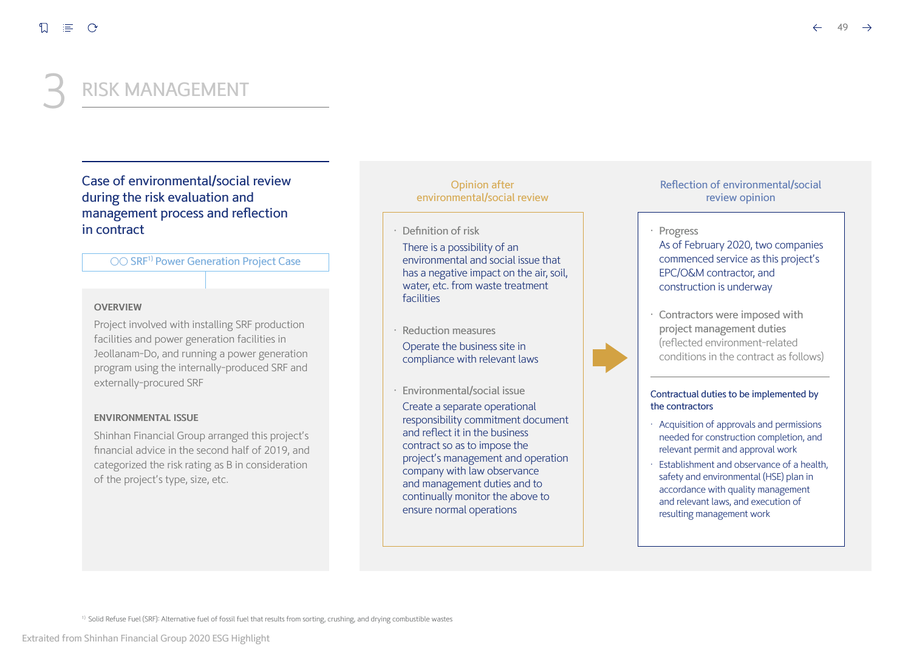# **RISK MANAGEMENT**

Case of environmental/social review during the risk evaluation and management process and reflection in contract

○○ SRF<sup>1)</sup> Power Generation Project Case

#### **OVERVIEW**

Project involved with installing SRF production facilities and power generation facilities in Jeollanam-Do, and running a power generation program using the internally-produced SRF and externally-procured SRF

#### **ENVIRONMENTAL ISSUE**

Shinhan Financial Group arranged this project's financial advice in the second half of 2019, and categorized the risk rating as B in consideration of the project's type, size, etc.

#### Opinion after environmental/social review

#### • Definition of risk

There is a possibility of an environmental and social issue that has a negative impact on the air, soil, water, etc. from waste treatment facilities

- Reduction measures
- Operate the business site in compliance with relevant laws
- Environmental/social issue

Create a separate operational responsibility commitment document and reflect it in the business contract so as to impose the project's management and operation company with law observance and management duties and to continually monitor the above to ensure normal operations

#### Reflection of environmental/social review opinion

#### • Progress

As of February 2020, two companies commenced service as this project's EPC/O&M contractor, and construction is underway

• Contractors were imposed with project management duties (reflected environment-related conditions in the contract as follows)

#### Contractual duties to be implemented by the contractors

- Acquisition of approvals and permissions needed for construction completion, and relevant permit and approval work
- Establishment and observance of a health, safety and environmental (HSE) plan in accordance with quality management and relevant laws, and execution of resulting management work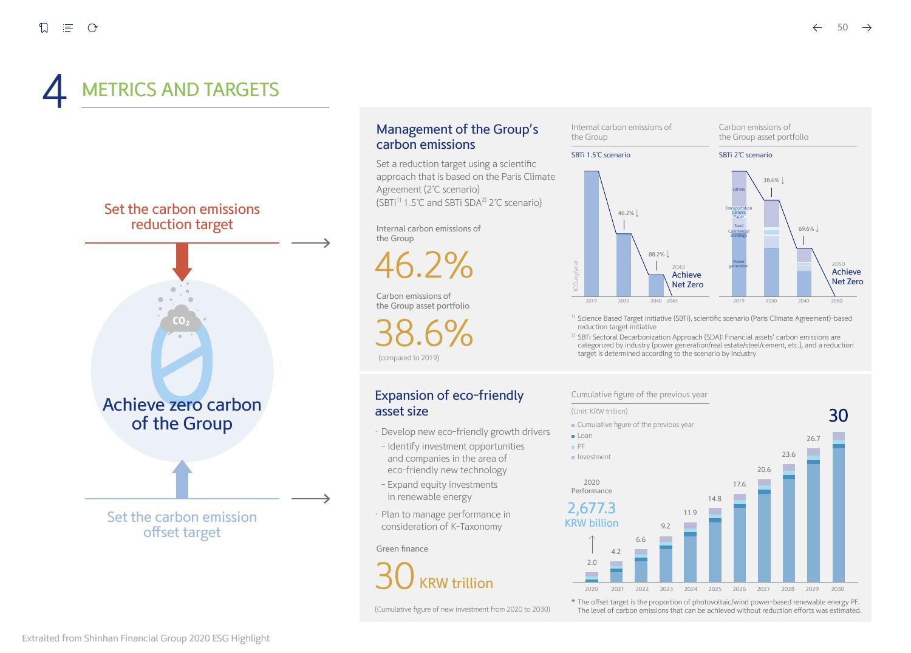# **METRICS AND TARGETS**



### Management of the Group's carbon emissions

Set a reduction target using a scientific approach that is based on the Paris Climate Agreement (2℃ scenario)  $(SBTi<sup>1</sup>)$  1.5℃ and SBTi SDA<sup>2)</sup> 2℃ scenario)

Internal carbon emissions of the Group

 $\mathcal{O}'$ 

Carbon emissions of the Group asset portfolio

38.6%

(compared to 2019)

## Expansion of eco-friendly asset size

- Develop new eco-friendly growth drivers
- Identify investment opportunities and companies in the area of eco-friendly new technology
- Expand equity investments in renewable energy
- Plan to manage performance in consideration of K-Taxonomy

Green finance

# KRW trillion 30

(Cumulative figure of new investment from 2020 to 2030)

Internal carbon emissions of the Group





<sup>1)</sup> Science Based Target initiative (SBTi), scientific scenario (Paris Climate Agreement)-based reduction target initiative

<sup>2)</sup> SBTi Sectoral Decarbonization Approach (SDA): Financial assets' carbon emissions are categorized by industry (power generation/real estate/steel/cement, etc.), and a reduction target is determined according to the scenario by industry



\* The offset target is the proportion of photovoltaic/wind power-based renewable energy PF. The level of carbon emissions that can be achieved without reduction efforts was estimated.